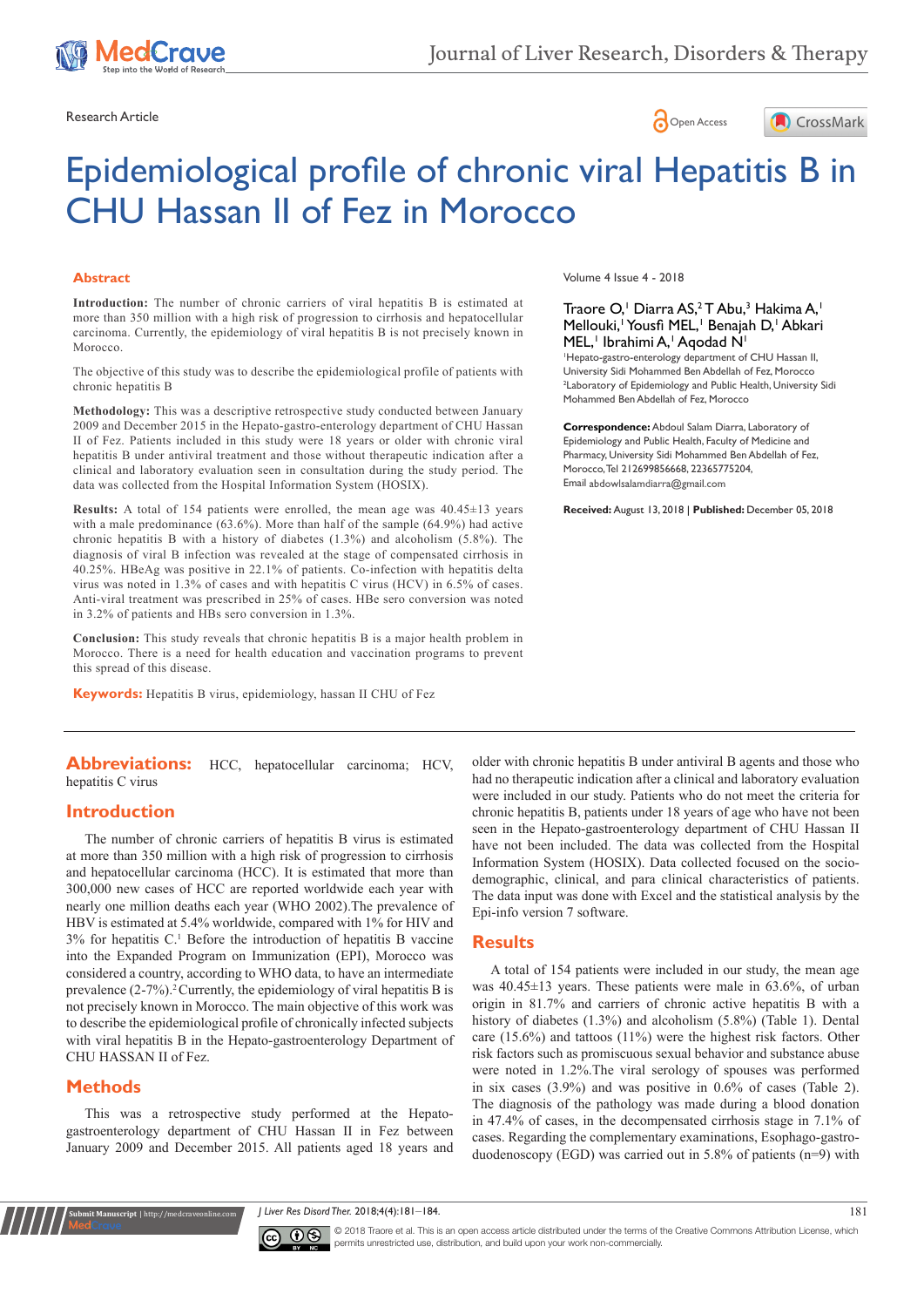





# Epidemiological profile of chronic viral Hepatitis B in CHU Hassan II of Fez in Morocco

#### **Abstract**

**Introduction:** The number of chronic carriers of viral hepatitis B is estimated at more than 350 million with a high risk of progression to cirrhosis and hepatocellular carcinoma. Currently, the epidemiology of viral hepatitis B is not precisely known in Morocco.

The objective of this study was to describe the epidemiological profile of patients with chronic hepatitis B

**Methodology:** This was a descriptive retrospective study conducted between January 2009 and December 2015 in the Hepato-gastro-enterology department of CHU Hassan II of Fez. Patients included in this study were 18 years or older with chronic viral hepatitis B under antiviral treatment and those without therapeutic indication after a clinical and laboratory evaluation seen in consultation during the study period. The data was collected from the Hospital Information System (HOSIX).

**Results:** A total of 154 patients were enrolled, the mean age was 40.45±13 years with a male predominance (63.6%). More than half of the sample (64.9%) had active chronic hepatitis B with a history of diabetes (1.3%) and alcoholism (5.8%). The diagnosis of viral B infection was revealed at the stage of compensated cirrhosis in 40.25%. HBeAg was positive in 22.1% of patients. Co-infection with hepatitis delta virus was noted in 1.3% of cases and with hepatitis C virus (HCV) in 6.5% of cases. Anti-viral treatment was prescribed in 25% of cases. HBe sero conversion was noted in 3.2% of patients and HBs sero conversion in 1.3%.

**Conclusion:** This study reveals that chronic hepatitis B is a major health problem in Morocco. There is a need for health education and vaccination programs to prevent this spread of this disease.

**Keywords:** Hepatitis B virus, epidemiology, hassan II CHU of Fez

Abbreviations: HCC, hepatocellular carcinoma; HCV, hepatitis C virus

#### **Introduction**

The number of chronic carriers of hepatitis B virus is estimated at more than 350 million with a high risk of progression to cirrhosis and hepatocellular carcinoma (HCC). It is estimated that more than 300,000 new cases of HCC are reported worldwide each year with nearly one million deaths each year (WHO 2002).The prevalence of HBV is estimated at 5.4% worldwide, compared with 1% for HIV and 3% for hepatitis C.1 Before the introduction of hepatitis B vaccine into the Expanded Program on Immunization (EPI), Morocco was considered a country, according to WHO data, to have an intermediate prevalence  $(2-7%)$ .<sup>2</sup> Currently, the epidemiology of viral hepatitis B is not precisely known in Morocco. The main objective of this work was to describe the epidemiological profile of chronically infected subjects with viral hepatitis B in the Hepato-gastroenterology Department of CHU HASSAN II of Fez.

### **Methods**

**Kubmit Manuscript** | http://medcraveonline

This was a retrospective study performed at the Hepatogastroenterology department of CHU Hassan II in Fez between January 2009 and December 2015. All patients aged 18 years and Volume 4 Issue 4 - 2018

#### Traore O,<sup>1</sup> Diarra AS,<sup>2</sup> T Abu,<sup>3</sup> Hakima A,<sup>1</sup> Mellouki,<sup>1</sup> Yousfi MEL,<sup>1</sup> Benajah D,<sup>1</sup> Abkari MEL,<sup>1</sup> Ibrahimi A,<sup>1</sup> Aqodad N<sup>1</sup>

1 Hepato-gastro-enterology department of CHU Hassan II, University Sidi Mohammed Ben Abdellah of Fez, Morocco 2 Laboratory of Epidemiology and Public Health, University Sidi Mohammed Ben Abdellah of Fez, Morocco

**Correspondence:** Abdoul Salam Diarra, Laboratory of Epidemiology and Public Health, Faculty of Medicine and Pharmacy, University Sidi Mohammed Ben Abdellah of Fez, Morocco, Tel 212699856668, 22365775204, Email abdowlsalamdiarra@gmail.com

**Received:** August 13, 2018 | **Published:** December 05, 2018

older with chronic hepatitis B under antiviral B agents and those who had no therapeutic indication after a clinical and laboratory evaluation were included in our study. Patients who do not meet the criteria for chronic hepatitis B, patients under 18 years of age who have not been seen in the Hepato-gastroenterology department of CHU Hassan II have not been included. The data was collected from the Hospital Information System (HOSIX). Data collected focused on the sociodemographic, clinical, and para clinical characteristics of patients. The data input was done with Excel and the statistical analysis by the Epi-info version 7 software.

### **Results**

A total of 154 patients were included in our study, the mean age was 40.45±13 years. These patients were male in 63.6%, of urban origin in 81.7% and carriers of chronic active hepatitis B with a history of diabetes (1.3%) and alcoholism (5.8%) (Table 1). Dental care (15.6%) and tattoos (11%) were the highest risk factors. Other risk factors such as promiscuous sexual behavior and substance abuse were noted in 1.2%.The viral serology of spouses was performed in six cases (3.9%) and was positive in 0.6% of cases (Table 2). The diagnosis of the pathology was made during a blood donation in 47.4% of cases, in the decompensated cirrhosis stage in 7.1% of cases. Regarding the complementary examinations, Esophago-gastroduodenoscopy (EGD) was carried out in 5.8% of patients (n=9) with

*J Liver Res Disord Ther.* 2018;4(4):181‒184. 181



© 2018 Traore et al. This is an open access article distributed under the terms of the [Creative Commons Attribution License,](https://creativecommons.org/licenses/by-nc/4.0/) which permits unrestricted use, distribution, and build upon your work non-commercially.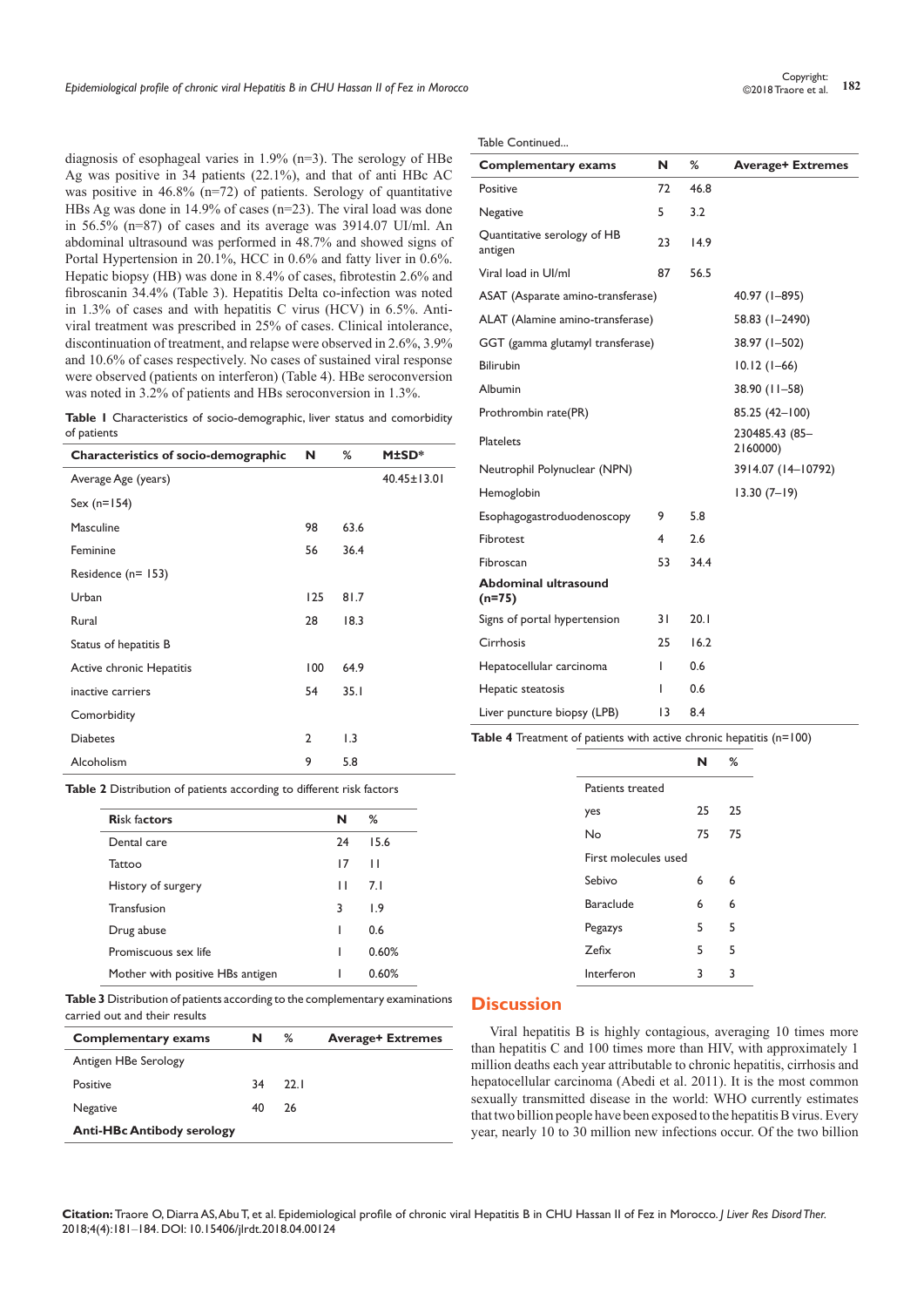diagnosis of esophageal varies in 1.9% (n=3). The serology of HBe Ag was positive in 34 patients (22.1%), and that of anti HBc AC was positive in 46.8% (n=72) of patients. Serology of quantitative HBs Ag was done in 14.9% of cases (n=23). The viral load was done in 56.5% (n=87) of cases and its average was 3914.07 UI/ml. An abdominal ultrasound was performed in 48.7% and showed signs of Portal Hypertension in 20.1%, HCC in 0.6% and fatty liver in 0.6%. Hepatic biopsy (HB) was done in 8.4% of cases, fibrotestin 2.6% and fibroscanin 34.4% (Table 3). Hepatitis Delta co-infection was noted in 1.3% of cases and with hepatitis C virus (HCV) in 6.5%. Antiviral treatment was prescribed in 25% of cases. Clinical intolerance, discontinuation of treatment, and relapse were observed in 2.6%, 3.9% and 10.6% of cases respectively. No cases of sustained viral response were observed (patients on interferon) (Table 4). HBe seroconversion was noted in 3.2% of patients and HBs seroconversion in 1.3%.

**Table 1** Characteristics of socio-demographic, liver status and comorbidity of patients

| <b>Characteristics of socio-demographic</b> | N             | ℅                | <b>M±SD*</b>      |
|---------------------------------------------|---------------|------------------|-------------------|
| Average Age (years)                         |               |                  | $40.45 \pm 13.01$ |
| Sex $(n=154)$                               |               |                  |                   |
| Masculine                                   | 98            | 63.6             |                   |
| Feminine                                    | 56            | 36.4             |                   |
| Residence (n= 153)                          |               |                  |                   |
| Urban                                       | 125           | 81.7             |                   |
| Rural                                       | 28            | 18.3             |                   |
| Status of hepatitis B                       |               |                  |                   |
| Active chronic Hepatitis                    | 100           | 64.9             |                   |
| inactive carriers                           | 54            | 35.1             |                   |
| Comorbidity                                 |               |                  |                   |
| <b>Diabetes</b>                             | $\mathcal{P}$ | $\overline{1.3}$ |                   |
| Alcoholism                                  | 9             | 5.8              |                   |

**Table 2** Distribution of patients according to different risk factors

| <b>Risk factors</b>              | N  | ℅     |
|----------------------------------|----|-------|
| Dental care                      | 74 | 15.6  |
| Tattoo                           | 17 | П     |
| History of surgery               | п  | 7.1   |
| Transfusion                      | 3  | 1.9   |
| Drug abuse                       |    | 0.6   |
| Promiscuous sex life             |    | 0.60% |
| Mother with positive HBs antigen |    | 0.60% |

**Table 3** Distribution of patients according to the complementary examinations carried out and their results

| <b>Complementary exams</b>        | N  | %    | <b>Average+ Extremes</b> |
|-----------------------------------|----|------|--------------------------|
| Antigen HBe Serology              |    |      |                          |
| Positive                          | 34 | 22.1 |                          |
| <b>Negative</b>                   | 40 | 26   |                          |
| <b>Anti-HBc Antibody serology</b> |    |      |                          |

Table Continued...

| <b>Complementary exams</b>              | N  | ℅    | <b>Average+ Extremes</b>   |
|-----------------------------------------|----|------|----------------------------|
| Positive                                | 72 | 46.8 |                            |
| Negative                                | 5  | 3.2  |                            |
| Quantitative serology of HB<br>antigen  | 23 | 14.9 |                            |
| Viral load in Ul/ml                     | 87 | 56.5 |                            |
| ASAT (Asparate amino-transferase)       |    |      | 40.97 (1-895)              |
| ALAT (Alamine amino-transferase)        |    |      | 58.83 (1-2490)             |
| GGT (gamma glutamyl transferase)        |    |      | 38.97 (1-502)              |
| <b>Bilirubin</b>                        |    |      | $10.12(1-66)$              |
| Albumin                                 |    |      | 38.90 (11-58)              |
| Prothrombin rate(PR)                    |    |      | 85.25 (42-100)             |
| <b>Platelets</b>                        |    |      | 230485.43 (85-<br>2160000) |
| Neutrophil Polynuclear (NPN)            |    |      | 3914.07 (14-10792)         |
| Hemoglobin                              |    |      | $13.30(7-19)$              |
| Esophagogastroduodenoscopy              | 9  | 5.8  |                            |
| Fibrotest                               | 4  | 2.6  |                            |
| Fibroscan                               | 53 | 34.4 |                            |
| <b>Abdominal ultrasound</b><br>$(n=75)$ |    |      |                            |
| Signs of portal hypertension            | 31 | 20.1 |                            |
| Cirrhosis                               | 25 | 16.2 |                            |
| Hepatocellular carcinoma                | L  | 0.6  |                            |
| Hepatic steatosis                       | ı  | 0.6  |                            |
| Liver puncture biopsy (LPB)             | 13 | 8.4  |                            |

**Table 4** Treatment of patients with active chronic hepatitis (n=100)

|                      |    | ℅  |
|----------------------|----|----|
| Patients treated     |    |    |
| yes                  | 25 | 25 |
| No                   | 75 | 75 |
| First molecules used |    |    |
| Sebivo               | 6  | 6  |
| <b>Baraclude</b>     | 6  | 6  |
| Pegazys              | 5  | 5  |
| 7efix                | 5  | 5  |
| Interferon           | 3  | ٦  |

## **Discussion**

Viral hepatitis B is highly contagious, averaging 10 times more than hepatitis C and 100 times more than HIV, with approximately 1 million deaths each year attributable to chronic hepatitis, cirrhosis and hepatocellular carcinoma (Abedi et al. 2011). It is the most common sexually transmitted disease in the world: WHO currently estimates that two billion people have been exposed to the hepatitis B virus. Every year, nearly 10 to 30 million new infections occur. Of the two billion

**Citation:** Traore O, Diarra AS, Abu T, et al. Epidemiological profile of chronic viral Hepatitis B in CHU Hassan II of Fez in Morocco. *J Liver Res Disord Ther.* 2018;4(4):181‒184. DOI: [10.15406/jlrdt.2018.04.00124](https://doi.org/10.15406/jlrdt.2018.04.00124)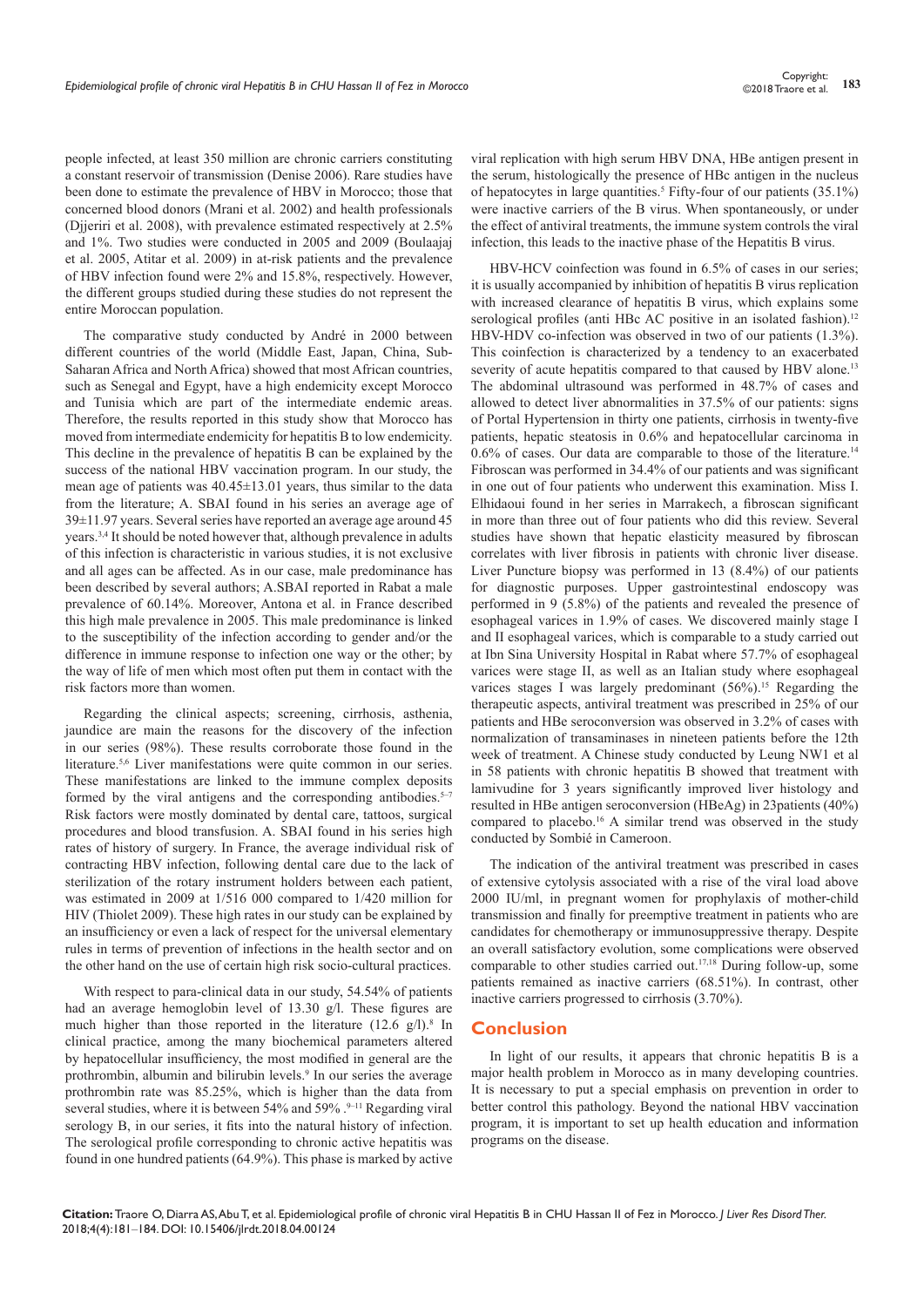people infected, at least 350 million are chronic carriers constituting a constant reservoir of transmission (Denise 2006). Rare studies have been done to estimate the prevalence of HBV in Morocco; those that concerned blood donors (Mrani et al. 2002) and health professionals (Djjeriri et al. 2008), with prevalence estimated respectively at 2.5% and 1%. Two studies were conducted in 2005 and 2009 (Boulaajaj et al. 2005, Atitar et al. 2009) in at-risk patients and the prevalence of HBV infection found were 2% and 15.8%, respectively. However, the different groups studied during these studies do not represent the entire Moroccan population.

The comparative study conducted by André in 2000 between different countries of the world (Middle East, Japan, China, Sub-Saharan Africa and North Africa) showed that most African countries, such as Senegal and Egypt, have a high endemicity except Morocco and Tunisia which are part of the intermediate endemic areas. Therefore, the results reported in this study show that Morocco has moved from intermediate endemicity for hepatitis B to low endemicity. This decline in the prevalence of hepatitis B can be explained by the success of the national HBV vaccination program. In our study, the mean age of patients was 40.45±13.01 years, thus similar to the data from the literature; A. SBAI found in his series an average age of 39±11.97 years. Several series have reported an average age around 45 years.3,4 It should be noted however that, although prevalence in adults of this infection is characteristic in various studies, it is not exclusive and all ages can be affected. As in our case, male predominance has been described by several authors; A.SBAI reported in Rabat a male prevalence of 60.14%. Moreover, Antona et al. in France described this high male prevalence in 2005. This male predominance is linked to the susceptibility of the infection according to gender and/or the difference in immune response to infection one way or the other; by the way of life of men which most often put them in contact with the risk factors more than women.

Regarding the clinical aspects; screening, cirrhosis, asthenia, jaundice are main the reasons for the discovery of the infection in our series (98%). These results corroborate those found in the literature.<sup>5,6</sup> Liver manifestations were quite common in our series. These manifestations are linked to the immune complex deposits formed by the viral antigens and the corresponding antibodies.<sup> $5-7$ </sup> Risk factors were mostly dominated by dental care, tattoos, surgical procedures and blood transfusion. A. SBAI found in his series high rates of history of surgery. In France, the average individual risk of contracting HBV infection, following dental care due to the lack of sterilization of the rotary instrument holders between each patient, was estimated in 2009 at 1/516 000 compared to 1/420 million for HIV (Thiolet 2009). These high rates in our study can be explained by an insufficiency or even a lack of respect for the universal elementary rules in terms of prevention of infections in the health sector and on the other hand on the use of certain high risk socio-cultural practices.

With respect to para-clinical data in our study, 54.54% of patients had an average hemoglobin level of 13.30 g/l. These figures are much higher than those reported in the literature  $(12.6 \text{ g/l})$ .<sup>8</sup> In clinical practice, among the many biochemical parameters altered by hepatocellular insufficiency, the most modified in general are the prothrombin, albumin and bilirubin levels.<sup>9</sup> In our series the average prothrombin rate was 85.25%, which is higher than the data from several studies, where it is between 54% and 59% .<sup>9–11</sup> Regarding viral serology B, in our series, it fits into the natural history of infection. The serological profile corresponding to chronic active hepatitis was found in one hundred patients (64.9%). This phase is marked by active

viral replication with high serum HBV DNA, HBe antigen present in the serum, histologically the presence of HBc antigen in the nucleus of hepatocytes in large quantities.<sup>5</sup> Fifty-four of our patients (35.1%) were inactive carriers of the B virus. When spontaneously, or under the effect of antiviral treatments, the immune system controls the viral infection, this leads to the inactive phase of the Hepatitis B virus.

HBV-HCV coinfection was found in 6.5% of cases in our series; it is usually accompanied by inhibition of hepatitis B virus replication with increased clearance of hepatitis B virus, which explains some serological profiles (anti HBc AC positive in an isolated fashion).<sup>12</sup> HBV-HDV co-infection was observed in two of our patients (1.3%). This coinfection is characterized by a tendency to an exacerbated severity of acute hepatitis compared to that caused by HBV alone.<sup>13</sup> The abdominal ultrasound was performed in 48.7% of cases and allowed to detect liver abnormalities in 37.5% of our patients: signs of Portal Hypertension in thirty one patients, cirrhosis in twenty-five patients, hepatic steatosis in 0.6% and hepatocellular carcinoma in  $0.6\%$  of cases. Our data are comparable to those of the literature.<sup>14</sup> Fibroscan was performed in 34.4% of our patients and was significant in one out of four patients who underwent this examination. Miss I. Elhidaoui found in her series in Marrakech, a fibroscan significant in more than three out of four patients who did this review. Several studies have shown that hepatic elasticity measured by fibroscan correlates with liver fibrosis in patients with chronic liver disease. Liver Puncture biopsy was performed in 13 (8.4%) of our patients for diagnostic purposes. Upper gastrointestinal endoscopy was performed in 9 (5.8%) of the patients and revealed the presence of esophageal varices in 1.9% of cases. We discovered mainly stage I and II esophageal varices, which is comparable to a study carried out at Ibn Sina University Hospital in Rabat where 57.7% of esophageal varices were stage II, as well as an Italian study where esophageal varices stages I was largely predominant  $(56\%)$ .<sup>15</sup> Regarding the therapeutic aspects, antiviral treatment was prescribed in 25% of our patients and HBe seroconversion was observed in 3.2% of cases with normalization of transaminases in nineteen patients before the 12th week of treatment. A Chinese study conducted by Leung NW1 et al in 58 patients with chronic hepatitis B showed that treatment with lamivudine for 3 years significantly improved liver histology and resulted in HBe antigen seroconversion (HBeAg) in 23patients (40%) compared to placebo.16 A similar trend was observed in the study conducted by Sombié in Cameroon.

The indication of the antiviral treatment was prescribed in cases of extensive cytolysis associated with a rise of the viral load above 2000 IU/ml, in pregnant women for prophylaxis of mother-child transmission and finally for preemptive treatment in patients who are candidates for chemotherapy or immunosuppressive therapy. Despite an overall satisfactory evolution, some complications were observed comparable to other studies carried out.17,18 During follow-up, some patients remained as inactive carriers (68.51%). In contrast, other inactive carriers progressed to cirrhosis (3.70%).

## **Conclusion**

In light of our results, it appears that chronic hepatitis B is a major health problem in Morocco as in many developing countries. It is necessary to put a special emphasis on prevention in order to better control this pathology. Beyond the national HBV vaccination program, it is important to set up health education and information programs on the disease.

**Citation:** Traore O, Diarra AS, Abu T, et al. Epidemiological profile of chronic viral Hepatitis B in CHU Hassan II of Fez in Morocco. *J Liver Res Disord Ther.* 2018;4(4):181‒184. DOI: [10.15406/jlrdt.2018.04.00124](https://doi.org/10.15406/jlrdt.2018.04.00124)